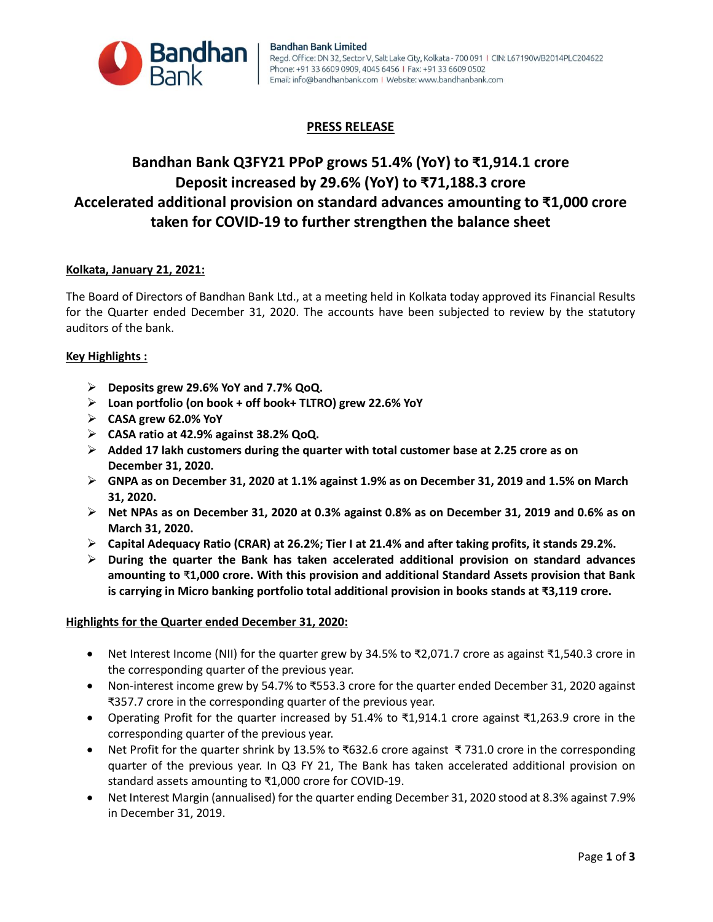

# **PRESS RELEASE**

# **Bandhan Bank Q3FY21 PPoP grows 51.4% (YoY) to ₹1,914.1 crore Deposit increased by 29.6% (YoY) to ₹71,188.3 crore Accelerated additional provision on standard advances amounting to ₹1,000 crore taken for COVID-19 to further strengthen the balance sheet**

## **Kolkata, January 21, 2021:**

The Board of Directors of Bandhan Bank Ltd., at a meeting held in Kolkata today approved its Financial Results for the Quarter ended December 31, 2020. The accounts have been subjected to review by the statutory auditors of the bank.

## **Key Highlights :**

- **Deposits grew 29.6% YoY and 7.7% QoQ.**
- **Loan portfolio (on book + off book+ TLTRO) grew 22.6% YoY**
- **CASA grew 62.0% YoY**
- **CASA ratio at 42.9% against 38.2% QoQ.**
- **Added 17 lakh customers during the quarter with total customer base at 2.25 crore as on December 31, 2020.**
- **GNPA as on December 31, 2020 at 1.1% against 1.9% as on December 31, 2019 and 1.5% on March 31, 2020.**
- **Net NPAs as on December 31, 2020 at 0.3% against 0.8% as on December 31, 2019 and 0.6% as on March 31, 2020.**
- **Capital Adequacy Ratio (CRAR) at 26.2%; Tier I at 21.4% and after taking profits, it stands 29.2%.**
- **During the quarter the Bank has taken accelerated additional provision on standard advances amounting to** ₹**1,000 crore. With this provision and additional Standard Assets provision that Bank is carrying in Micro banking portfolio total additional provision in books stands at ₹3,119 crore.**

### **Highlights for the Quarter ended December 31, 2020:**

- Net Interest Income (NII) for the quarter grew by 34.5% to ₹2,071.7 crore as against ₹1,540.3 crore in the corresponding quarter of the previous year.
- Non-interest income grew by 54.7% to ₹553.3 crore for the quarter ended December 31, 2020 against ₹357.7 crore in the corresponding quarter of the previous year.
- Operating Profit for the quarter increased by 51.4% to ₹1,914.1 crore against ₹1,263.9 crore in the corresponding quarter of the previous year.
- Net Profit for the quarter shrink by 13.5% to ₹632.6 crore against ₹ 731.0 crore in the corresponding quarter of the previous year. In Q3 FY 21, The Bank has taken accelerated additional provision on standard assets amounting to ₹1,000 crore for COVID-19.
- Net Interest Margin (annualised) for the quarter ending December 31, 2020 stood at 8.3% against 7.9% in December 31, 2019.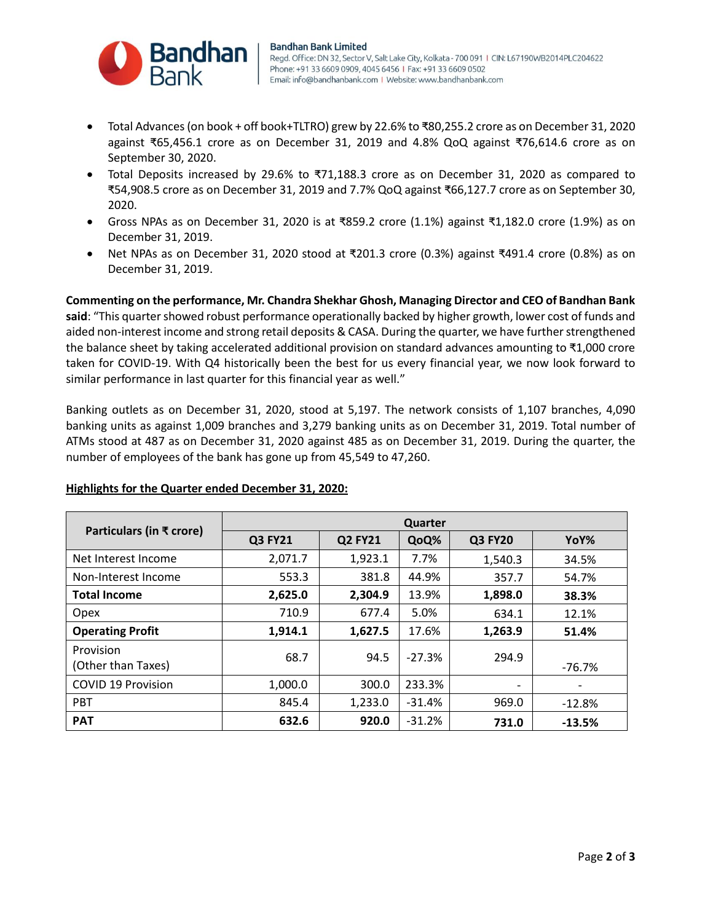

- Total Advances (on book + off book+TLTRO) grew by 22.6% to ₹80,255.2 crore as on December 31, 2020 against ₹65,456.1 crore as on December 31, 2019 and 4.8% QoQ against ₹76,614.6 crore as on September 30, 2020.
- Total Deposits increased by 29.6% to ₹71,188.3 crore as on December 31, 2020 as compared to ₹54,908.5 crore as on December 31, 2019 and 7.7% QoQ against ₹66,127.7 crore as on September 30, 2020.
- Gross NPAs as on December 31, 2020 is at ₹859.2 crore (1.1%) against ₹1,182.0 crore (1.9%) as on December 31, 2019.
- Net NPAs as on December 31, 2020 stood at ₹201.3 crore (0.3%) against ₹491.4 crore (0.8%) as on December 31, 2019.

**Commenting on the performance, Mr. Chandra Shekhar Ghosh, Managing Director and CEO of Bandhan Bank said**: "This quarter showed robust performance operationally backed by higher growth, lower cost of funds and aided non-interest income and strong retail deposits & CASA. During the quarter, we have further strengthened the balance sheet by taking accelerated additional provision on standard advances amounting to ₹1,000 crore taken for COVID-19. With Q4 historically been the best for us every financial year, we now look forward to similar performance in last quarter for this financial year as well."

Banking outlets as on December 31, 2020, stood at 5,197. The network consists of 1,107 branches, 4,090 banking units as against 1,009 branches and 3,279 banking units as on December 31, 2019. Total number of ATMs stood at 487 as on December 31, 2020 against 485 as on December 31, 2019. During the quarter, the number of employees of the bank has gone up from 45,549 to 47,260.

| Particulars (in ₹ crore)        | Quarter        |                |          |                          |                          |
|---------------------------------|----------------|----------------|----------|--------------------------|--------------------------|
|                                 | <b>Q3 FY21</b> | <b>Q2 FY21</b> | QoQ%     | <b>Q3 FY20</b>           | YoY%                     |
| Net Interest Income             | 2,071.7        | 1,923.1        | 7.7%     | 1,540.3                  | 34.5%                    |
| Non-Interest Income             | 553.3          | 381.8          | 44.9%    | 357.7                    | 54.7%                    |
| <b>Total Income</b>             | 2,625.0        | 2,304.9        | 13.9%    | 1,898.0                  | 38.3%                    |
| Opex                            | 710.9          | 677.4          | 5.0%     | 634.1                    | 12.1%                    |
| <b>Operating Profit</b>         | 1,914.1        | 1,627.5        | 17.6%    | 1,263.9                  | 51.4%                    |
| Provision<br>(Other than Taxes) | 68.7           | 94.5           | $-27.3%$ | 294.9                    | $-76.7%$                 |
| <b>COVID 19 Provision</b>       | 1,000.0        | 300.0          | 233.3%   | $\overline{\phantom{a}}$ | $\overline{\phantom{a}}$ |
| <b>PBT</b>                      | 845.4          | 1,233.0        | $-31.4%$ | 969.0                    | $-12.8%$                 |
| <b>PAT</b>                      | 632.6          | 920.0          | $-31.2%$ | 731.0                    | $-13.5%$                 |

# **Highlights for the Quarter ended December 31, 2020:**